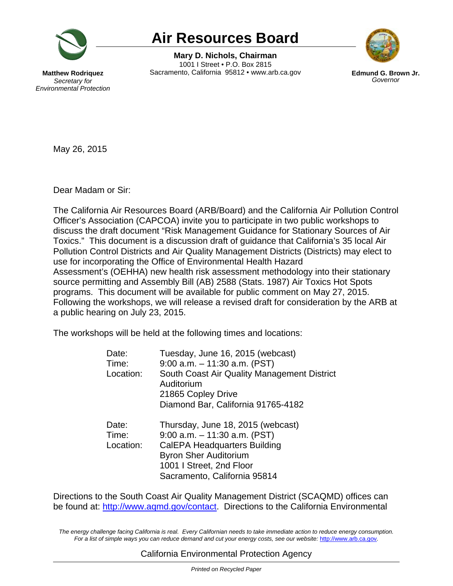

# **Air Resources Board**

**Air Resources Board Mary D. Nichols, Chairman**<br>Mary D. Nichols, Chairman<br>Hew Rodriquez Sacramento, California 95812 • www.arb.ca.gov Edmund G. Bi **Mary D. Nichols, Chairman**  1001 I Street • P.O. Box 2815 **Matthew Rodriquez Sacramento, California 95812 • www.arb.ca.gov <b>Edmund G. Brown Jr. Secratary for Secration** 



**Secretary for** *Environmental Protection* 

May 26, 2015

Dear Madam or Sir:

The California Air Resources Board (ARB/Board) and the California Air Pollution Control Officer's Association (CAPCOA) invite you to participate in two public workshops to discuss the draft document "Risk Management Guidance for Stationary Sources of Air Toxics." This document is a discussion draft of guidance that California's 35 local Air Pollution Control Districts and Air Quality Management Districts (Districts) may elect to use for incorporating the Office of Environmental Health Hazard Assessment's (OEHHA) new health risk assessment methodology into their stationary source permitting and Assembly Bill (AB) 2588 (Stats. 1987) Air Toxics Hot Spots programs. This document will be available for public comment on May 27, 2015. Following the workshops, we will release a revised draft for consideration by the ARB at a public hearing on July 23, 2015.

The workshops will be held at the following times and locations:

| Date:<br>Time:<br>Location: | Tuesday, June 16, 2015 (webcast)<br>$9:00$ a.m. $-11:30$ a.m. (PST)<br>South Coast Air Quality Management District<br>Auditorium<br>21865 Copley Drive<br>Diamond Bar, California 91765-4182     |
|-----------------------------|--------------------------------------------------------------------------------------------------------------------------------------------------------------------------------------------------|
| Date:<br>Time:<br>Location: | Thursday, June 18, 2015 (webcast)<br>$9:00$ a.m. $-11:30$ a.m. (PST)<br>CalEPA Headquarters Building<br><b>Byron Sher Auditorium</b><br>1001   Street, 2nd Floor<br>Sacramento, California 95814 |

Directions to the South Coast Air Quality Management District (SCAQMD) offices can be found at: [http://www.aqmd.gov/contact.](http://www.aqmd.gov/contact) Directions to the California Environmental

The energy challenge facing California is real. Every Californian needs to take immediate action to reduce energy consumption. Fora list of simple ways you can reduce demand and cut your energy costs, see our website: http://www.arb.ca.gov.

## California Environmental Protection Agency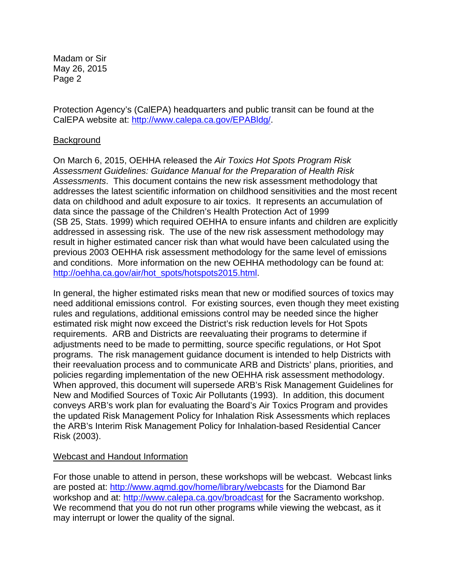Madam or Sir May 26, 2015 Page 2

Protection Agency's (CalEPA) headquarters and public transit can be found at the CalEPA website at: [http://www.calepa.ca.gov/EPABldg/](http://www.calepa.ca.gov/EPABldg).

### Background

On March 6, 2015, OEHHA released the *Air Toxics Hot Spots Program Risk Assessment Guidelines: Guidance Manual for the Preparation of Health Risk Assessments*. This document contains the new risk assessment methodology that addresses the latest scientific information on childhood sensitivities and the most recent data on childhood and adult exposure to air toxics. It represents an accumulation of data since the passage of the Children's Health Protection Act of 1999 (SB 25, Stats. 1999) which required OEHHA to ensure infants and children are explicitly addressed in assessing risk. The use of the new risk assessment methodology may result in higher estimated cancer risk than what would have been calculated using the previous 2003 OEHHA risk assessment methodology for the same level of emissions and conditions. More information on the new OEHHA methodology can be found at: [http://oehha.ca.gov/air/hot\\_spots/hotspots2015.html.](http://oehha.ca.gov/air/hot_spots/hotspots2015.html)

In general, the higher estimated risks mean that new or modified sources of toxics may need additional emissions control. For existing sources, even though they meet existing rules and regulations, additional emissions control may be needed since the higher estimated risk might now exceed the District's risk reduction levels for Hot Spots requirements. ARB and Districts are reevaluating their programs to determine if adjustments need to be made to permitting, source specific regulations, or Hot Spot programs. The risk management guidance document is intended to help Districts with their reevaluation process and to communicate ARB and Districts' plans, priorities, and policies regarding implementation of the new OEHHA risk assessment methodology. When approved, this document will supersede ARB's Risk Management Guidelines for New and Modified Sources of Toxic Air Pollutants (1993). In addition, this document conveys ARB's work plan for evaluating the Board's Air Toxics Program and provides the updated Risk Management Policy for Inhalation Risk Assessments which replaces the ARB's Interim Risk Management Policy for Inhalation-based Residential Cancer Risk (2003).

#### Webcast and Handout Information

For those unable to attend in person, these workshops will be webcast. Webcast links are posted at: <http://www.aqmd.gov/home/library/webcasts>for the Diamond Bar workshop and at: <http://www.calepa.ca.gov/broadcast> for the Sacramento workshop. We recommend that you do not run other programs while viewing the webcast, as it may interrupt or lower the quality of the signal.